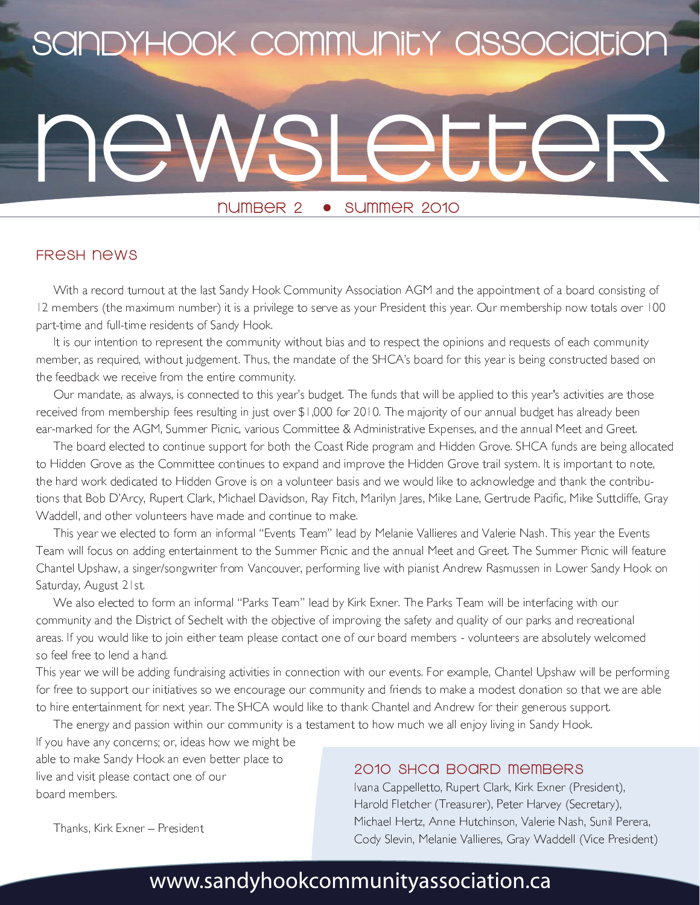# SANDYHOOK COMMUNITY ASSOCIATION

**NUMBER 2** SUMMER 2010  $\bullet$ 

## **FRESH NEWS**

With a record turnout at the last Sandy Hook Community Association AGM and the appointment of a board consisting of 12 members (the maximum number) it is a privilege to serve as your President this year. Our membership now totals over 100 part-time and full-time residents of Sandy Hook.

It is our intention to represent the community without bias and to respect the opinions and requests of each community member, as required, without judgement. Thus, the mandate of the SHCA's board for this year is being constructed based on the feedback we receive from the entire community.

Our mandate, as always, is connected to this year's budget. The funds that will be applied to this year's activities are those received from membership fees resulting in just over \$1,000 for 2010. The majority of our annual budget has already been ear-marked for the AGM, Summer Picnic, various Committee & Administrative Expenses, and the annual Meet and Greet.

The board elected to continue support for both the Coast Ride program and Hidden Grove. SHCA funds are being allocated to Hidden Grove as the Committee continues to expand and improve the Hidden Grove trail system. It is important to note, the hard work dedicated to Hidden Grove is on a volunteer basis and we would like to acknowledge and thank the contributions that Bob D'Arcy, Rupert Clark, Michael Davidson, Ray Fitch, Marilyn Jares, Mike Lane, Gertrude Pacific, Mike Suttcliffe, Gray Waddell, and other volunteers have made and continue to make.

This year we elected to form an informal "Events Team" lead by Melanie Vallieres and Valerie Nash. This year the Events Team will focus on adding entertainment to the Summer Picnic and the annual Meet and Greet. The Summer Picnic will feature Chantel Upshaw, a singer/songwriter from Vancouver, performing live with pianist Andrew Rasmussen in Lower Sandy Hook on Saturday, August 21st.

We also elected to form an informal "Parks Team" lead by Kirk Exner. The Parks Team will be interfacing with our community and the District of Sechelt with the objective of improving the safety and quality of our parks and recreational areas. If you would like to join either team please contact one of our board members - volunteers are absolutely welcomed so feel free to lend a hand.

This year we will be adding fundraising activities in connection with our events. For example, Chantel Upshaw will be performing for free to support our initiatives so we encourage our community and friends to make a modest donation so that we are able to hire entertainment for next year. The SHCA would like to thank Chantel and Andrew for their generous support.

The energy and passion within our community is a testament to how much we all enjoy living in Sandy Hook.

If you have any concerns; or, ideas how we might be able to make Sandy Hook an even better place to live and visit please contact one of our board members.

## 2010 SHCQ BOARD MAMBARS

Ivana Cappelletto, Rupert Clark, Kirk Exner (President), Harold Fletcher (Treasurer), Peter Harvey (Secretary), Michael Hertz, Anne Hutchinson, Valerie Nash, Sunil Perera, Cody Slevin, Melanie Vallieres, Gray Waddell (Vice President)

Thanks, Kirk Exner - President

## www.sandyhookcommunityassociation.ca